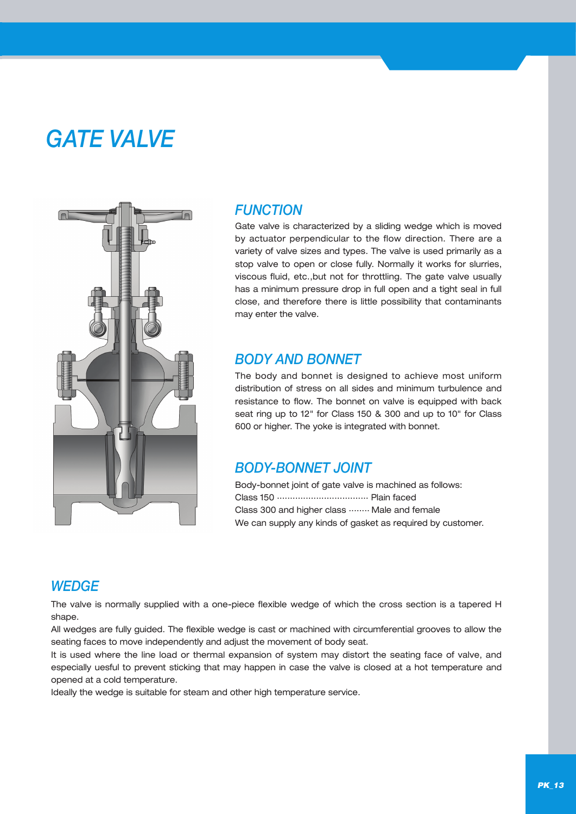# *GATE VALVE*



#### *FUNCTION*

Gate valve is characterized by a sliding wedge which is moved by actuator perpendicular to the flow direction. There are a variety of valve sizes and types. The valve is used primarily as a stop valve to open or close fully. Normally it works for slurries, viscous fluid, etc.,but not for throttling. The gate valve usually has a minimum pressure drop in full open and a tight seal in full close, and therefore there is little possibility that contaminants may enter the valve.

#### *BODY AND BONNET*

The body and bonnet is designed to achieve most uniform distribution of stress on all sides and minimum turbulence and resistance to flow. The bonnet on valve is equipped with back seat ring up to 12" for Class 150 & 300 and up to 10" for Class 600 or higher. The yoke is integrated with bonnet.

#### *BODY-BONNET JOINT*

Body-bonnet joint of gate valve is machined as follows: Class 150 ................................... Plain faced Class 300 and higher class ........ Male and female We can supply any kinds of gasket as required by customer.

#### *WEDGE*

The valve is normally supplied with a one-piece flexible wedge of which the cross section is a tapered H shape.

All wedges are fully guided. The flexible wedge is cast or machined with circumferential grooves to allow the seating faces to move independently and adjust the movement of body seat.

It is used where the line load or thermal expansion of system may distort the seating face of valve, and especially uesful to prevent sticking that may happen in case the valve is closed at a hot temperature and opened at a cold temperature.

Ideally the wedge is suitable for steam and other high temperature service.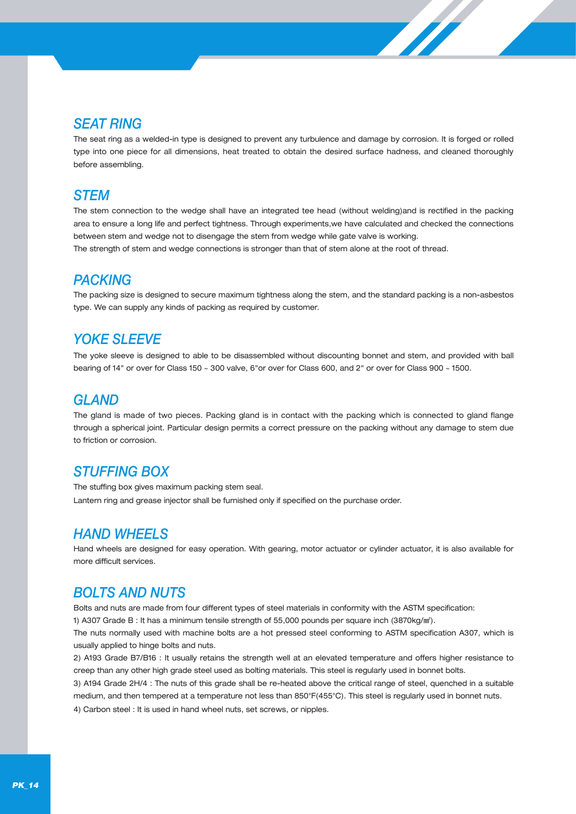# *SEAT RING*

The seat ring as a welded-in type is designed to prevent any turbulence and damage by corrosion. It is forged or rolled type into one piece for all dimensions, heat treated to obtain the desired surface hadness, and cleaned thoroughly before assembling.

**SARASSER** 

# *STEM*

The stem connection to the wedge shall have an integrated tee head (without welding)and is rectified in the packing area to ensure a long life and perfect tightness. Through experiments,we have calculated and checked the connections between stem and wedge not to disengage the stem from wedge while gate valve is working. The strength of stem and wedge connections is stronger than that of stem alone at the root of thread.

# *PACKING*

The packing size is designed to secure maximum tightness along the stem, and the standard packing is a non-asbestos type. We can supply any kinds of packing as required by customer.

# *YOKE SLEEVE*

The yoke sleeve is designed to able to be disassembled without discounting bonnet and stem, and provided with ball bearing of 14" or over for Class 150 ~ 300 valve, 6"or over for Class 600, and 2" or over for Class 900 ~ 1500.

# *GLAND*

The gland is made of two pieces. Packing gland is in contact with the packing which is connected to gland flange through a spherical joint. Particular design permits a correct pressure on the packing without any damage to stem due to friction or corrosion.

# *STUFFING BOX*

The stuffing box gives maximum packing stem seal. Lantern ring and grease injector shall be furnished only if specified on the purchase order.

# *HAND WHEELS*

Hand wheels are designed for easy operation. With gearing, motor actuator or cylinder actuator, it is also available for more difficult services.

# *BOLTS AND NUTS*

Bolts and nuts are made from four different types of steel materials in conformity with the ASTM specification:

1) A307 Grade B : It has a minimum tensile strength of 55,000 pounds per square inch (3870kg/mi).

The nuts normally used with machine bolts are a hot pressed steel conforming to ASTM specification A307, which is usually applied to hinge bolts and nuts.

2) A193 Grade B7/B16 : It usually retains the strength well at an elevated temperature and offers higher resistance to creep than any other high grade steel used as bolting materials. This steel is regularly used in bonnet bolts.

3) A194 Grade 2H/4 : The nuts of this grade shall be re-heated above the critical range of steel, quenched in a suitable medium, and then tempered at a temperature not less than 850°F(455°C). This steel is regularly used in bonnet nuts. 4) Carbon steel : It is used in hand wheel nuts, set screws, or nipples.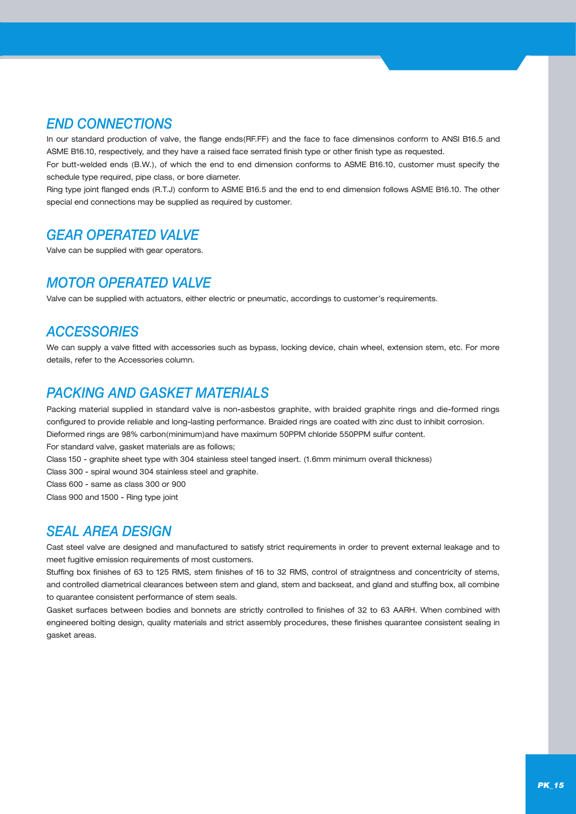# *END CONNECTIONS*

In our standard production of valve, the flange ends(RF.FF) and the face to face dimensinos conform to ANSI B16.5 and ASME B16.10, respectively, and they have a raised face serrated finish type or other finish type as requested.

For butt-welded ends (B.W.), of which the end to end dimension conforms to ASME B16.10, customer must specify the schedule type required, pipe class, or bore diameter.

Ring type joint flanged ends (R.T.J) conform to ASME B16.5 and the end to end dimension follows ASME B16.10. The other special end connections may be supplied as required by customer.

# *GEAR OPERATED VALVE*

Valve can be supplied with gear operators.

# *MOTOR OPERATED VALVE*

Valve can be supplied with actuators, either electric or pneumatic, accordings to customer's requirements.

# *ACCESSORIES*

We can supply a valve fitted with accessories such as bypass, locking device, chain wheel, extension stem, etc. For more details, refer to the Accessories column.

# *PACKING AND GASKET MATERIALS*

Packing material supplied in standard valve is non-asbestos graphite, with braided graphite rings and die-formed rings configured to provide reliable and long-lasting performance. Braided rings are coated with zinc dust to inhibit corrosion. Dieformed rings are 98% carbon(minimum)and have maximum 50PPM chloride 550PPM sulfur content.

For standard valve, gasket materials are as follows;

Class 150 - graphite sheet type with 304 stainless steel tanged insert. (1.6mm minimum overall thickness)

Class 300 - spiral wound 304 stainless steel and graphite.

Class 600 - same as class 300 or 900

Class 900 and 1500 - Ring type joint

# *SEAL AREA DESIGN*

Cast steel valve are designed and manufactured to satisfy strict requirements in order to prevent external leakage and to meet fugitive emission requirements of most customers.

Stuffing box finishes of 63 to 125 RMS, stem finishes of 16 to 32 RMS, control of straigntness and concentricity of stems, and controlled diametrical clearances between stem and gland, stem and backseat, and gland and stuffing box, all combine to quarantee consistent performance of stem seals.

Gasket surfaces between bodies and bonnets are strictly controlled to finishes of 32 to 63 AARH. When combined with engineered bolting design, quality materials and strict assembly procedures, these finishes quarantee consistent sealing in gasket areas.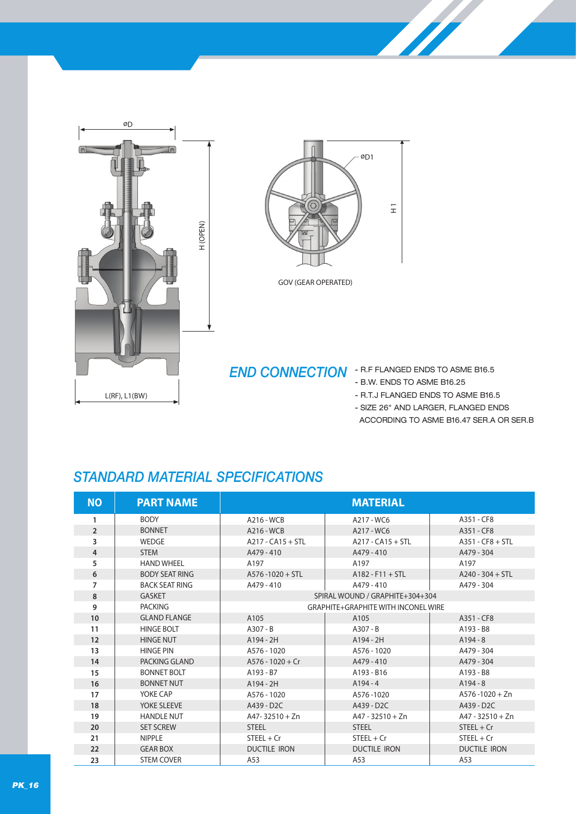



GOV (GEAR OPERATED)

# **END CONNECTION** - R.F FLANGED ENDS TO ASME B16.5

- B.W. ENDS TO ASME B16.25
- R.T.J FLANGED ENDS TO ASME B16.5
- SIZE 26" AND LARGER, FLANGED ENDS
	- ACCORDING TO ASME B16.47 SER.A OR SER.B

# *STANDARD MATERIAL SPECIFICATIONS*

| <b>NO</b>      | <b>PART NAME</b>      |                         | <b>MATERIAL</b>                            |                         |
|----------------|-----------------------|-------------------------|--------------------------------------------|-------------------------|
| 1              | <b>BODY</b>           | A216 - WCB              | A217 - WC6                                 | A351 - CF8              |
| $\overline{2}$ | <b>BONNET</b>         | A216 - WCB              | A217 - WC6                                 | A351 - CF8              |
| 3              | WEDGE                 | $A217 - CA15 + STL$     | $A217 - CA15 + STL$                        | $A351 - CFB + STL$      |
| $\overline{4}$ | <b>STEM</b>           | A479 - 410              | A479 - 410                                 | A479 - 304              |
| 5              | <b>HAND WHEEL</b>     | A197                    | A197                                       | A197                    |
| 6              | <b>BODY SEAT RING</b> | $A576 - 1020 + STI$     | $A182 - F11 + STL$                         | $A240 - 304 + STL$      |
| 7              | <b>BACK SEAT RING</b> | A479 - 410              | A479 - 410                                 | A479 - 304              |
| 8              | <b>GASKET</b>         |                         | SPIRAL WOUND / GRAPHITE+304+304            |                         |
| 9              | <b>PACKING</b>        |                         | <b>GRAPHITE+GRAPHITE WITH INCONEL WIRE</b> |                         |
| 10             | <b>GLAND FLANGE</b>   | A105                    | A105                                       | A351 - CF8              |
| 11             | <b>HINGE BOLT</b>     | $A307 - B$              | $A307 - B$                                 | A193 - B8               |
| 12             | <b>HINGE NUT</b>      | $A194 - 2H$             | $A194 - 2H$                                | $A194 - 8$              |
| 13             | <b>HINGE PIN</b>      | A576 - 1020             | A576 - 1020                                | A479 - 304              |
| 14             | PACKING GLAND         | $A576 - 1020 + Cr$      | A479 - 410                                 | A479 - 304              |
| 15             | <b>BONNET BOLT</b>    | A193 - B7               | A193 - B16                                 | A193 - B8               |
| 16             | <b>BONNET NUT</b>     | $A194 - 2H$             | $A194 - 4$                                 | $A194 - 8$              |
| 17             | YOKE CAP              | A576 - 1020             | A576-1020                                  | $A576 - 1020 + Zn$      |
| 18             | YOKE SI FFVF          | A439 - D <sub>2</sub> C | A439 - D <sub>2</sub> C                    | A439 - D <sub>2</sub> C |
| 19             | <b>HANDLE NUT</b>     | $A47 - 32510 + Zn$      | $A47 - 32510 + Zn$                         | $A47 - 32510 + Zn$      |
| 20             | <b>SET SCREW</b>      | <b>STEEL</b>            | <b>STEEL</b>                               | $STEEL + Cr$            |
| 21             | <b>NIPPLE</b>         | $STEEL + Cr$            | $STEEL + Cr$                               | $STEEL + Cr$            |
| 22             | <b>GEAR BOX</b>       | <b>DUCTILE IRON</b>     | <b>DUCTILE IRON</b>                        | <b>DUCTILE IRON</b>     |
| 23             | <b>STEM COVER</b>     | A53                     | A53                                        | A53                     |